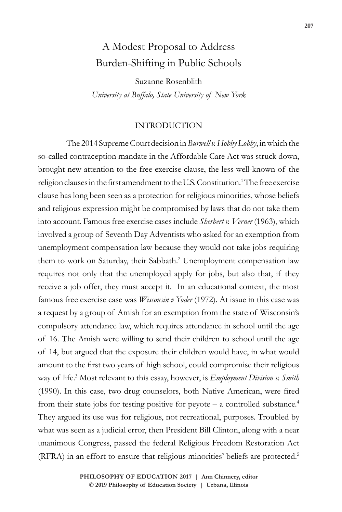# A Modest Proposal to Address Burden-Shifting in Public Schools

Suzanne Rosenblith *University at Buffalo, State University of New York*

# INTRODUCTION

The 2014 Supreme Court decision in *Burwell v.Hobby Lobby*, in which the so-called contraception mandate in the Affordable Care Act was struck down, brought new attention to the free exercise clause, the less well-known of the religion clauses in the first amendment to the U.S. Constitution.<sup>1</sup> The free exercise clause has long been seen as a protection for religious minorities, whose beliefs and religious expression might be compromised by laws that do not take them into account. Famous free exercise cases include *Sherbert v. Verner* (1963), which involved a group of Seventh Day Adventists who asked for an exemption from unemployment compensation law because they would not take jobs requiring them to work on Saturday, their Sabbath.<sup>2</sup> Unemployment compensation law requires not only that the unemployed apply for jobs, but also that, if they receive a job offer, they must accept it. In an educational context, the most famous free exercise case was *Wisconsin v Yoder* (1972). At issue in this case was a request by a group of Amish for an exemption from the state of Wisconsin's compulsory attendance law, which requires attendance in school until the age of 16. The Amish were willing to send their children to school until the age of 14, but argued that the exposure their children would have, in what would amount to the first two years of high school, could compromise their religious way of life.<sup>3</sup> Most relevant to this essay, however, is *Employment Division v. Smith* (1990). In this case, two drug counselors, both Native American, were fired from their state jobs for testing positive for peyote – a controlled substance.<sup>4</sup> They argued its use was for religious, not recreational, purposes. Troubled by what was seen as a judicial error, then President Bill Clinton, along with a near unanimous Congress, passed the federal Religious Freedom Restoration Act (RFRA) in an effort to ensure that religious minorities' beliefs are protected.5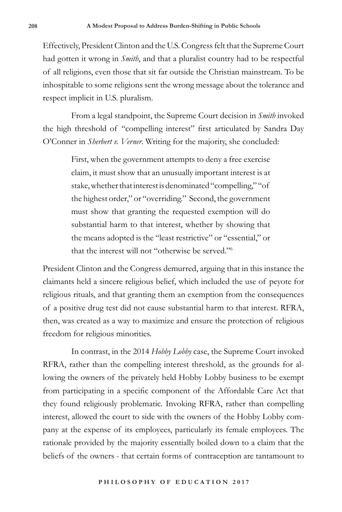Effectively, President Clinton and the U.S. Congress felt that the Supreme Court had gotten it wrong in *Smith*, and that a pluralist country had to be respectful of all religions, even those that sit far outside the Christian mainstream. To be inhospitable to some religions sent the wrong message about the tolerance and respect implicit in U.S. pluralism.

From a legal standpoint, the Supreme Court decision in *Smith* invoked the high threshold of "compelling interest" first articulated by Sandra Day O'Conner in *Sherbert v. Verner*. Writing for the majority, she concluded:

> First, when the government attempts to deny a free exercise claim, it must show that an unusually important interest is at stake, whether that interest is denominated "compelling," "of the highest order," or "overriding." Second, the government must show that granting the requested exemption will do substantial harm to that interest, whether by showing that the means adopted is the "least restrictive" or "essential," or that the interest will not "otherwise be served."<sup>6</sup>

President Clinton and the Congress demurred, arguing that in this instance the claimants held a sincere religious belief, which included the use of peyote for religious rituals, and that granting them an exemption from the consequences of a positive drug test did not cause substantial harm to that interest. RFRA, then, was created as a way to maximize and ensure the protection of religious freedom for religious minorities.

In contrast, in the 2014 *Hobby Lobby* case, the Supreme Court invoked RFRA, rather than the compelling interest threshold, as the grounds for allowing the owners of the privately held Hobby Lobby business to be exempt from participating in a specific component of the Affordable Care Act that they found religiously problematic. Invoking RFRA, rather than compelling interest, allowed the court to side with the owners of the Hobby Lobby company at the expense of its employees, particularly its female employees. The rationale provided by the majority essentially boiled down to a claim that the beliefs of the owners - that certain forms of contraception are tantamount to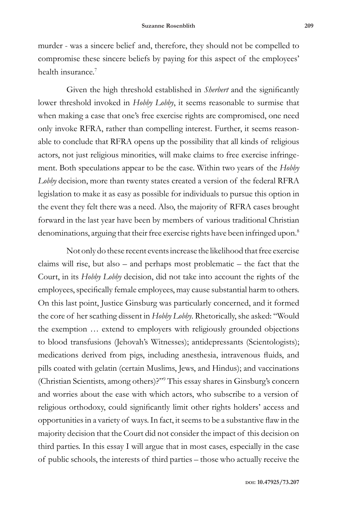murder - was a sincere belief and, therefore, they should not be compelled to compromise these sincere beliefs by paying for this aspect of the employees' health insurance.<sup>7</sup>

Given the high threshold established in *Sherbert* and the significantly lower threshold invoked in *Hobby Lobby*, it seems reasonable to surmise that when making a case that one's free exercise rights are compromised, one need only invoke RFRA, rather than compelling interest. Further, it seems reasonable to conclude that RFRA opens up the possibility that all kinds of religious actors, not just religious minorities, will make claims to free exercise infringement. Both speculations appear to be the case. Within two years of the *Hobby Lobby* decision, more than twenty states created a version of the federal RFRA legislation to make it as easy as possible for individuals to pursue this option in the event they felt there was a need. Also, the majority of RFRA cases brought forward in the last year have been by members of various traditional Christian denominations, arguing that their free exercise rights have been infringed upon.<sup>8</sup>

Not only do these recent events increase the likelihood that free exercise claims will rise, but also – and perhaps most problematic – the fact that the Court, in its *Hobby Lobby* decision, did not take into account the rights of the employees, specifically female employees, may cause substantial harm to others. On this last point, Justice Ginsburg was particularly concerned, and it formed the core of her scathing dissent in *Hobby Lobby*. Rhetorically, she asked: "Would the exemption … extend to employers with religiously grounded objections to blood transfusions (Jehovah's Witnesses); antidepressants (Scientologists); medications derived from pigs, including anesthesia, intravenous fluids, and pills coated with gelatin (certain Muslims, Jews, and Hindus); and vaccinations (Christian Scientists, among others)?"9 This essay shares in Ginsburg's concern and worries about the ease with which actors, who subscribe to a version of religious orthodoxy, could significantly limit other rights holders' access and opportunities in a variety of ways. In fact, it seems to be a substantive flaw in the majority decision that the Court did not consider the impact of this decision on third parties. In this essay I will argue that in most cases, especially in the case of public schools, the interests of third parties – those who actually receive the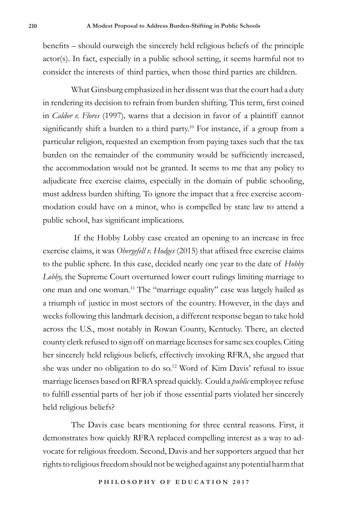benefits – should outweigh the sincerely held religious beliefs of the principle actor(s). In fact, especially in a public school setting, it seems harmful not to consider the interests of third parties, when those third parties are children.

What Ginsburg emphasized in her dissent was that the court had a duty in rendering its decision to refrain from burden shifting. This term, first coined in *Caldor v. Flores* (1997)*,* warns that a decision in favor of a plaintiff cannot significantly shift a burden to a third party.<sup>10</sup> For instance, if a group from a particular religion, requested an exemption from paying taxes such that the tax burden on the remainder of the community would be sufficiently increased, the accommodation would not be granted. It seems to me that any policy to adjudicate free exercise claims, especially in the domain of public schooling, must address burden shifting. To ignore the impact that a free exercise accommodation could have on a minor, who is compelled by state law to attend a public school, has significant implications.

 If the Hobby Lobby case created an opening to an increase in free exercise claims, it was *Obergefell v. Hodges* (2015) that affixed free exercise claims to the public sphere. In this case, decided nearly one year to the date of *Hobby Lobby,* the Supreme Court overturned lower court rulings limiting marriage to one man and one woman.11 The "marriage equality" case was largely hailed as a triumph of justice in most sectors of the country. However, in the days and weeks following this landmark decision, a different response began to take hold across the U.S., most notably in Rowan County, Kentucky. There, an elected county clerk refused to sign off on marriage licenses for same sex couples. Citing her sincerely held religious beliefs, effectively invoking RFRA, she argued that she was under no obligation to do so.<sup>12</sup> Word of Kim Davis' refusal to issue marriage licenses based on RFRA spread quickly. Could a *public* employee refuse to fulfill essential parts of her job if those essential parts violated her sincerely held religious beliefs?

The Davis case bears mentioning for three central reasons. First, it demonstrates how quickly RFRA replaced compelling interest as a way to advocate for religious freedom. Second, Davis and her supporters argued that her rights to religious freedom should not be weighed against any potential harm that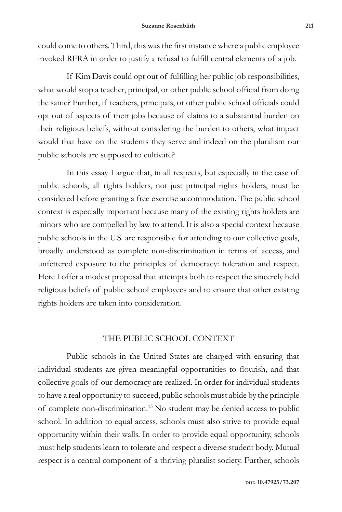could come to others. Third, this was the first instance where a public employee invoked RFRA in order to justify a refusal to fulfill central elements of a job.

If Kim Davis could opt out of fulfilling her public job responsibilities, what would stop a teacher, principal, or other public school official from doing the same? Further, if teachers, principals, or other public school officials could opt out of aspects of their jobs because of claims to a substantial burden on their religious beliefs, without considering the burden to others, what impact would that have on the students they serve and indeed on the pluralism our public schools are supposed to cultivate?

In this essay I argue that, in all respects, but especially in the case of public schools, all rights holders, not just principal rights holders, must be considered before granting a free exercise accommodation. The public school context is especially important because many of the existing rights holders are minors who are compelled by law to attend. It is also a special context because public schools in the U.S. are responsible for attending to our collective goals, broadly understood as complete non-discrimination in terms of access, and unfettered exposure to the principles of democracy: toleration and respect. Here I offer a modest proposal that attempts both to respect the sincerely held religious beliefs of public school employees and to ensure that other existing rights holders are taken into consideration.

# THE PUBLIC SCHOOL CONTEXT

Public schools in the United States are charged with ensuring that individual students are given meaningful opportunities to flourish, and that collective goals of our democracy are realized. In order for individual students to have a real opportunity to succeed, public schools must abide by the principle of complete non-discrimination.13 No student may be denied access to public school. In addition to equal access, schools must also strive to provide equal opportunity within their walls. In order to provide equal opportunity, schools must help students learn to tolerate and respect a diverse student body. Mutual respect is a central component of a thriving pluralist society. Further, schools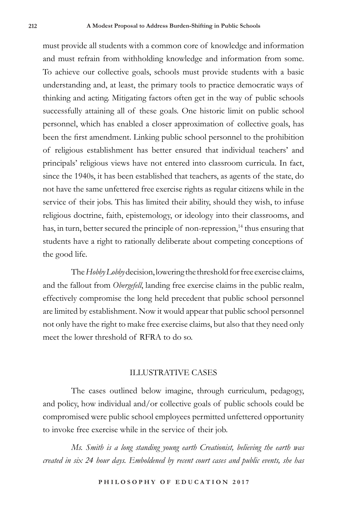must provide all students with a common core of knowledge and information and must refrain from withholding knowledge and information from some. To achieve our collective goals, schools must provide students with a basic understanding and, at least, the primary tools to practice democratic ways of thinking and acting. Mitigating factors often get in the way of public schools successfully attaining all of these goals. One historic limit on public school personnel, which has enabled a closer approximation of collective goals, has been the first amendment. Linking public school personnel to the prohibition of religious establishment has better ensured that individual teachers' and principals' religious views have not entered into classroom curricula. In fact, since the 1940s, it has been established that teachers, as agents of the state, do not have the same unfettered free exercise rights as regular citizens while in the service of their jobs. This has limited their ability, should they wish, to infuse religious doctrine, faith, epistemology, or ideology into their classrooms, and has, in turn, better secured the principle of non-repression,<sup>14</sup> thus ensuring that students have a right to rationally deliberate about competing conceptions of the good life.

The *Hobby Lobby* decision, lowering the threshold for free exercise claims, and the fallout from *Obergefell*, landing free exercise claims in the public realm, effectively compromise the long held precedent that public school personnel are limited by establishment. Now it would appear that public school personnel not only have the right to make free exercise claims, but also that they need only meet the lower threshold of RFRA to do so.

## ILLUSTRATIVE CASES

The cases outlined below imagine, through curriculum, pedagogy, and policy, how individual and/or collective goals of public schools could be compromised were public school employees permitted unfettered opportunity to invoke free exercise while in the service of their job.

*Ms. Smith is a long standing young earth Creationist, believing the earth was created in six 24 hour days. Emboldened by recent court cases and public events, she has*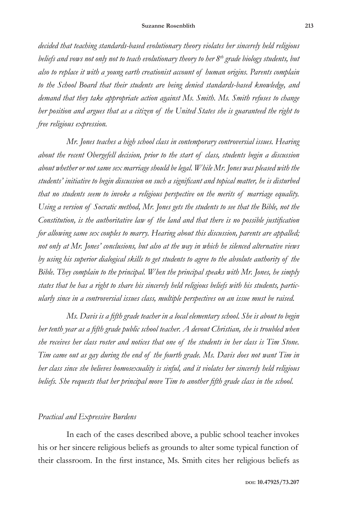*decided that teaching standards-based evolutionary theory violates her sincerely held religious*  beliefs and vows not only not to teach evolutionary theory to her  $8<sup>th</sup>$  grade biology students, but *also to replace it with a young earth creationist account of human origins. Parents complain to the School Board that their students are being denied standards-based knowledge, and demand that they take appropriate action against Ms. Smith. Ms. Smith refuses to change her position and argues that as a citizen of the United States she is guaranteed the right to free religious expression.*

*Mr. Jones teaches a high school class in contemporary controversial issues. Hearing about the recent Obergefell decision, prior to the start of class, students begin a discussion about whether or not same sex marriage should be legal. While Mr. Jones was pleased with the students' initiative to begin discussion on such a significant and topical matter, he is disturbed that no students seem to invoke a religious perspective on the merits of marriage equality. Using a version of Socratic method, Mr. Jones gets the students to see that the Bible, not the Constitution, is the authoritative law of the land and that there is no possible justification for allowing same sex couples to marry. Hearing about this discussion, parents are appalled; not only at Mr. Jones' conclusions, but also at the way in which he silenced alternative views by using his superior dialogical skills to get students to agree to the absolute authority of the Bible. They complain to the principal. When the principal speaks with Mr. Jones, he simply states that he has a right to share his sincerely held religious beliefs with his students, particularly since in a controversial issues class, multiple perspectives on an issue must be raised.*

*Ms. Davis is a fifth grade teacher in a local elementary school. She is about to begin her tenth year as a fifth grade public school teacher. A devout Christian, she is troubled when she receives her class roster and notices that one of the students in her class is Tim Stone. Tim came out as gay during the end of the fourth grade. Ms. Davis does not want Tim in her class since she believes homosexuality is sinful, and it violates her sincerely held religious beliefs. She requests that her principal move Tim to another fifth grade class in the school.*

## *Practical and Expressive Burdens*

In each of the cases described above, a public school teacher invokes his or her sincere religious beliefs as grounds to alter some typical function of their classroom. In the first instance, Ms. Smith cites her religious beliefs as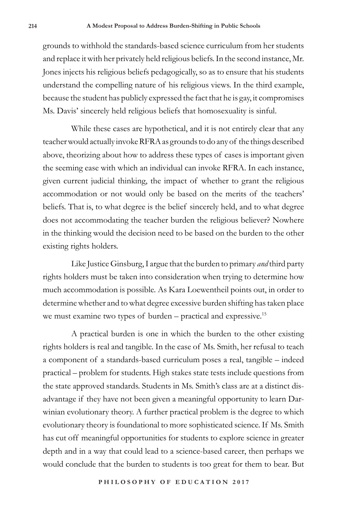grounds to withhold the standards-based science curriculum from her students and replace it with her privately held religious beliefs. In the second instance, Mr. Jones injects his religious beliefs pedagogically, so as to ensure that his students understand the compelling nature of his religious views. In the third example, because the student has publicly expressed the fact that he is gay, it compromises Ms. Davis' sincerely held religious beliefs that homosexuality is sinful.

While these cases are hypothetical, and it is not entirely clear that any teacher would actually invoke RFRA as grounds to do any of the things described above, theorizing about how to address these types of cases is important given the seeming ease with which an individual can invoke RFRA. In each instance, given current judicial thinking, the impact of whether to grant the religious accommodation or not would only be based on the merits of the teachers' beliefs. That is, to what degree is the belief sincerely held, and to what degree does not accommodating the teacher burden the religious believer? Nowhere in the thinking would the decision need to be based on the burden to the other existing rights holders.

Like Justice Ginsburg, I argue that the burden to primary *and* third party rights holders must be taken into consideration when trying to determine how much accommodation is possible. As Kara Loewentheil points out, in order to determine whether and to what degree excessive burden shifting has taken place we must examine two types of burden – practical and expressive.<sup>15</sup>

A practical burden is one in which the burden to the other existing rights holders is real and tangible. In the case of Ms. Smith, her refusal to teach a component of a standards-based curriculum poses a real, tangible – indeed practical – problem for students. High stakes state tests include questions from the state approved standards. Students in Ms. Smith's class are at a distinct disadvantage if they have not been given a meaningful opportunity to learn Darwinian evolutionary theory. A further practical problem is the degree to which evolutionary theory is foundational to more sophisticated science. If Ms. Smith has cut off meaningful opportunities for students to explore science in greater depth and in a way that could lead to a science-based career, then perhaps we would conclude that the burden to students is too great for them to bear. But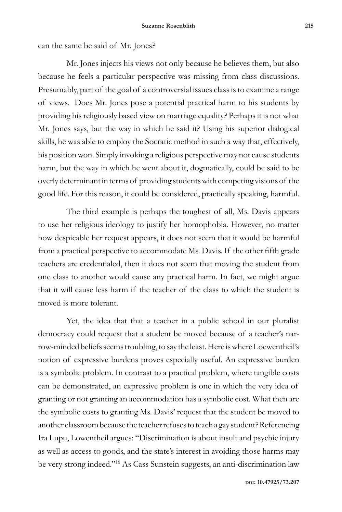can the same be said of Mr. Jones?

Mr. Jones injects his views not only because he believes them, but also because he feels a particular perspective was missing from class discussions. Presumably, part of the goal of a controversial issues class is to examine a range of views. Does Mr. Jones pose a potential practical harm to his students by providing his religiously based view on marriage equality? Perhaps it is not what Mr. Jones says, but the way in which he said it? Using his superior dialogical skills, he was able to employ the Socratic method in such a way that, effectively, his position won. Simply invoking a religious perspective may not cause students harm, but the way in which he went about it, dogmatically, could be said to be overly determinant in terms of providing students with competing visions of the good life. For this reason, it could be considered, practically speaking, harmful.

The third example is perhaps the toughest of all, Ms. Davis appears to use her religious ideology to justify her homophobia. However, no matter how despicable her request appears, it does not seem that it would be harmful from a practical perspective to accommodate Ms. Davis. If the other fifth grade teachers are credentialed, then it does not seem that moving the student from one class to another would cause any practical harm. In fact, we might argue that it will cause less harm if the teacher of the class to which the student is moved is more tolerant.

Yet, the idea that that a teacher in a public school in our pluralist democracy could request that a student be moved because of a teacher's narrow-minded beliefs seems troubling, to say the least. Here is where Loewentheil's notion of expressive burdens proves especially useful. An expressive burden is a symbolic problem. In contrast to a practical problem, where tangible costs can be demonstrated, an expressive problem is one in which the very idea of granting or not granting an accommodation has a symbolic cost. What then are the symbolic costs to granting Ms. Davis' request that the student be moved to another classroom because the teacher refuses to teach a gay student? Referencing Ira Lupu, Lowentheil argues: "Discrimination is about insult and psychic injury as well as access to goods, and the state's interest in avoiding those harms may be very strong indeed."<sup>16</sup> As Cass Sunstein suggests, an anti-discrimination law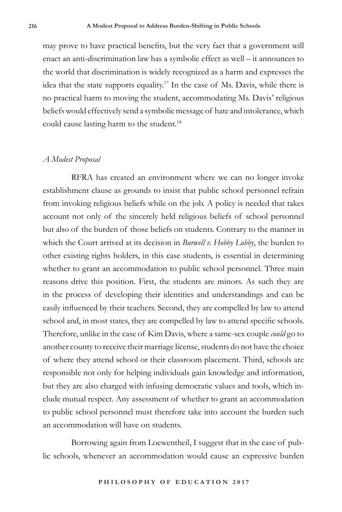may prove to have practical benefits, but the very fact that a government will enact an anti-discrimination law has a symbolic effect as well – it announces to the world that discrimination is widely recognized as a harm and expresses the idea that the state supports equality.<sup>17</sup> In the case of Ms. Davis, while there is no practical harm to moving the student, accommodating Ms. Davis' religious beliefs would effectively send a symbolic message of hate and intolerance, which could cause lasting harm to the student.<sup>18</sup>

## *A Modest Proposal*

RFRA has created an environment where we can no longer invoke establishment clause as grounds to insist that public school personnel refrain from invoking religious beliefs while on the job. A policy is needed that takes account not only of the sincerely held religious beliefs of school personnel but also of the burden of those beliefs on students. Contrary to the manner in which the Court arrived at its decision in *Burwell v. Hobby Lobby*, the burden to other existing rights holders, in this case students, is essential in determining whether to grant an accommodation to public school personnel. Three main reasons drive this position. First, the students are minors. As such they are in the process of developing their identities and understandings and can be easily influenced by their teachers. Second, they are compelled by law to attend school and, in most states, they are compelled by law to attend specific schools. Therefore, unlike in the case of Kim Davis, where a same-sex couple *could* go to another county to receive their marriage license, students do not have the choice of where they attend school or their classroom placement. Third, schools are responsible not only for helping individuals gain knowledge and information, but they are also charged with infusing democratic values and tools, which include mutual respect. Any assessment of whether to grant an accommodation to public school personnel must therefore take into account the burden such an accommodation will have on students.

Borrowing again from Loewentheil, I suggest that in the case of public schools, whenever an accommodation would cause an expressive burden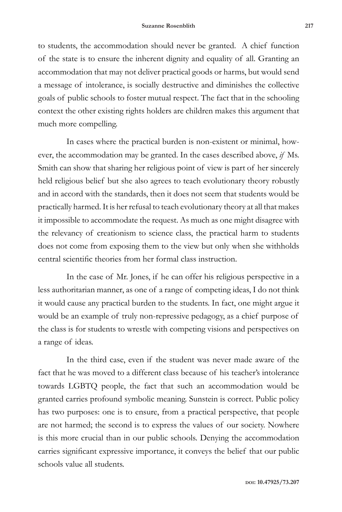to students, the accommodation should never be granted. A chief function of the state is to ensure the inherent dignity and equality of all. Granting an accommodation that may not deliver practical goods or harms, but would send a message of intolerance, is socially destructive and diminishes the collective goals of public schools to foster mutual respect. The fact that in the schooling context the other existing rights holders are children makes this argument that much more compelling.

In cases where the practical burden is non-existent or minimal, however, the accommodation may be granted. In the cases described above, *if* Ms. Smith can show that sharing her religious point of view is part of her sincerely held religious belief but she also agrees to teach evolutionary theory robustly and in accord with the standards, then it does not seem that students would be practically harmed. It is her refusal to teach evolutionary theory at all that makes it impossible to accommodate the request. As much as one might disagree with the relevancy of creationism to science class, the practical harm to students does not come from exposing them to the view but only when she withholds central scientific theories from her formal class instruction.

In the case of Mr. Jones, if he can offer his religious perspective in a less authoritarian manner, as one of a range of competing ideas, I do not think it would cause any practical burden to the students. In fact, one might argue it would be an example of truly non-repressive pedagogy, as a chief purpose of the class is for students to wrestle with competing visions and perspectives on a range of ideas.

In the third case, even if the student was never made aware of the fact that he was moved to a different class because of his teacher's intolerance towards LGBTQ people, the fact that such an accommodation would be granted carries profound symbolic meaning. Sunstein is correct. Public policy has two purposes: one is to ensure, from a practical perspective, that people are not harmed; the second is to express the values of our society. Nowhere is this more crucial than in our public schools. Denying the accommodation carries significant expressive importance, it conveys the belief that our public schools value all students.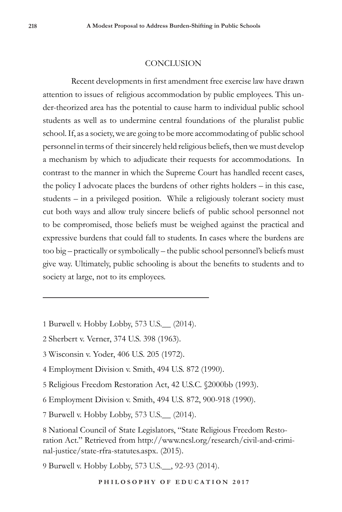## CONCLUSION

Recent developments in first amendment free exercise law have drawn attention to issues of religious accommodation by public employees. This under-theorized area has the potential to cause harm to individual public school students as well as to undermine central foundations of the pluralist public school. If, as a society, we are going to be more accommodating of public school personnel in terms of their sincerely held religious beliefs, then we must develop a mechanism by which to adjudicate their requests for accommodations. In contrast to the manner in which the Supreme Court has handled recent cases, the policy I advocate places the burdens of other rights holders – in this case, students – in a privileged position. While a religiously tolerant society must cut both ways and allow truly sincere beliefs of public school personnel not to be compromised, those beliefs must be weighed against the practical and expressive burdens that could fall to students. In cases where the burdens are too big – practically or symbolically – the public school personnel's beliefs must give way. Ultimately, public schooling is about the benefits to students and to society at large, not to its employees.

- 1 Burwell v. Hobby Lobby, 573 U.S.\_\_ (2014).
- 2 Sherbert v. Verner, 374 U.S. 398 (1963).
- 3 Wisconsin v. Yoder, 406 U.S. 205 (1972).
- 4 Employment Division v. Smith, 494 U.S. 872 (1990).
- 5 Religious Freedom Restoration Act, 42 U.S.C. §2000bb (1993).
- 6 Employment Division v. Smith, 494 U.S. 872, 900-918 (1990).

7 Burwell v. Hobby Lobby, 573 U.S.\_\_ (2014).

9 Burwell v. Hobby Lobby, 573 U.S.\_\_, 92-93 (2014).

<sup>8</sup> National Council of State Legislators, "State Religious Freedom Restoration Act." Retrieved from http://www.ncsl.org/research/civil-and-criminal-justice/state-rfra-statutes.aspx. (2015).